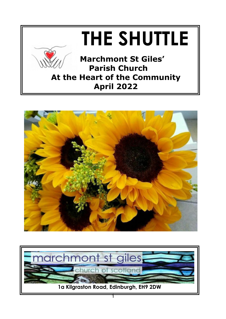



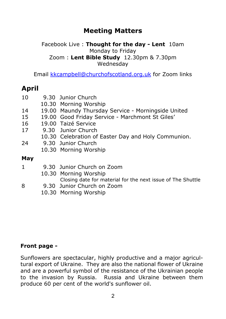# **Meeting Matters**

#### Facebook Live : **Thought for the day - Lent** 10am Monday to Friday Zoom : **Lent Bible Study** 12.30pm & 7.30pm Wednesday

Email [kkcampbell@churchofscotland.org.uk](mailto:kkcampbell@churchofscotland.org.uk) for Zoom links

# **April**

- 10 9.30 Junior Church
	- 10.30 Morning Worship
- 14 19.00 Maundy Thursday Service Morningside United<br>15 19.00 Good Friday Service Marchmont St Giles'
- 15 19.00 Good Friday Service Marchmont St Giles'
- 16 19.00 Taizé Service
- 17 9.30 Junior Church
	- 10.30 Celebration of Easter Day and Holy Communion.
- 24 9.30 Junior Church
	- 10.30 Morning Worship

### **May**

- 1 9.30 Junior Church on Zoom 10.30 Morning Worship Closing date for material for the next issue of The Shuttle 8 9.30 Junior Church on Zoom
	- 10.30 Morning Worship

# **Front page -**

Sunflowers are spectacular, highly productive and a major agricultural export of Ukraine. They are also the national flower of Ukraine and are a powerful symbol of the resistance of the Ukrainian people to the invasion by Russia. Russia and Ukraine between them produce 60 per cent of the world's sunflower oil.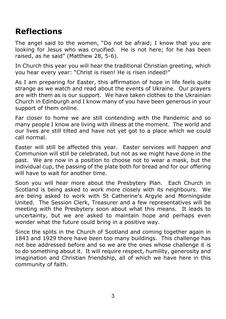# **Reflections**

The angel said to the women, "Do not be afraid; I know that you are looking for Jesus who was crucified. He is not here; for he has been raised, as he said" (Matthew 28, 5-6).

In Church this year you will hear the traditional Christian greeting, which you hear every year: "Christ is risen! He is risen indeed!"

As I am preparing for Easter, this affirmation of hope in life feels quite strange as we watch and read about the events of Ukraine. Our prayers are with them as is our support. We have taken clothes to the Ukrainian Church in Edinburgh and I know many of you have been generous in your support of them online.

Far closer to home we are still contending with the Pandemic and so many people I know are living with illness at the moment. The world and our lives are still tilted and have not yet got to a place which we could call normal.

Easter will still be affected this year. Easter services will happen and Communion will still be celebrated, but not as we might have done in the past. We are now in a position to choose not to wear a mask, but the individual cup, the passing of the plate both for bread and for our offering will have to wait for another time.

Soon you will hear more about the Presbytery Plan. Each Church in Scotland is being asked to work more closely with its neighbours. We are being asked to work with St Catherine's Argyle and Morningside United. The Session Clerk, Treasurer and a few representatives will be meeting with the Presbytery soon about what this means. It leads to uncertainty, but we are asked to maintain hope and perhaps even wonder what the future could bring in a positive way.

Since the splits in the Church of Scotland and coming together again in 1843 and 1929 there have been too many buildings. This challenge has not bee addressed before and so we are the ones whose challenge it is to do something about it. It will require respect, humility, generosity and imagination and Christian friendship, all of which we have here in this community of faith.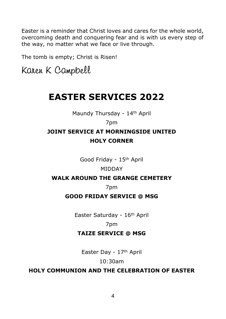Easter is a reminder that Christ loves and cares for the whole world, overcoming death and conquering fear and is with us every step of the way, no matter what we face or live through.

The tomb is empty; Christ is Risen!

Karen K Campbell

# **EASTER SERVICES 2022**

Maundy Thursday - 14th April

# 7pm

# **JOINT SERVICE AT MORNINGSIDE UNITED HOLY CORNER**

Good Friday - 15th April

#### MIDDAY

#### **WALK AROUND THE GRANGE CEMETERY**

7pm

# **GOOD FRIDAY SERVICE @ MSG**

Easter Saturday - 16th April

7pm

#### **TAIZE SERVICE @ MSG**

Easter Day - 17th April

#### 10:30am

# **HOLY COMMUNION AND THE CELEBRATION OF EASTER**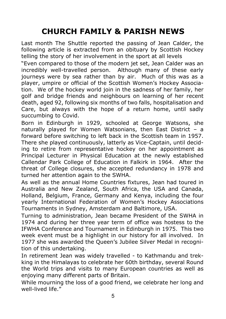# **CHURCH FAMILY & PARISH NEWS**

Last month The Shuttle reported the passing of Jean Calder, the following article is extracted from an obituary by Scottish Hockey telling the story of her involvement in the sport at all levels

"Even compared to those of the modern jet set, Jean Calder was an incredibly well-travelled person. Although many of these early journeys were by sea rather than by air. Much of this was as a player, umpire or official of the Scottish Women's Hockey Association. We of the hockey world join in the sadness of her family, her golf and bridge friends and neighbours on learning of her recent death, aged 92, following six months of two falls, hospitalisation and Care, but always with the hope of a return home, until sadly succumbing to Covid.

Born in Edinburgh in 1929, schooled at George Watsons, she naturally played for Women Watsonians, then East District – a forward before switching to left back in the Scottish team in 1957. There she played continuously, latterly as Vice-Captain, until deciding to retire from representative hockey on her appointment as Principal Lecturer in Physical Education at the newly established Callendar Park College of Education in Falkirk in 1964. After the threat of College closures, she accepted redundancy in 1978 and turned her attention again to the SWHA.

As well as the annual Home Countries fixtures, Jean had toured in Australia and New Zealand, South Africa, the USA and Canada, Holland, Belgium, France, Germany and Kenya, including the four yearly International Federation of Women's Hockey Associations Tournaments in Sydney, Amsterdam and Baltimore, USA.

Turning to administration, Jean became President of the SWHA in 1974 and during her three year term of office was hostess to the IFWHA Conference and Tournament in Edinburgh in 1975. This two week event must be a highlight in our history for all involved. In 1977 she was awarded the Queen's Jubilee Silver Medal in recognition of this undertaking.

In retirement Jean was widely travelled - to Kathmandu and trekking in the Himalayas to celebrate her 60th birthday, several Round the World trips and visits to many European countries as well as enjoying many different parts of Britain.

While mourning the loss of a good friend, we celebrate her long and well-lived life."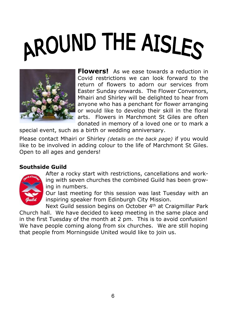# AROUND THE AISLES



**Flowers!** As we ease towards a reduction in Covid restrictions we can look forward to the return of flowers to adorn our services from Easter Sunday onwards. The Flower Convenors, Mhairi and Shirley will be delighted to hear from anyone who has a penchant for flower arranging or would like to develop their skill in the floral arts. Flowers in Marchmont St Giles are often donated in memory of a loved one or to mark a

special event, such as a birth or wedding anniversary.

Please contact Mhairi or Shirley *(details on the back page)* if you would like to be involved in adding colour to the life of Marchmont St Giles. Open to all ages and genders!

# **Southside Guild**



After a rocky start with restrictions, cancellations and working with seven churches the combined Guild has been growing in numbers.

Our last meeting for this session was last Tuesday with an inspiring speaker from Edinburgh City Mission.

Next Guild session begins on October 4th at Craigmillar Park Church hall. We have decided to keep meeting in the same place and in the first Tuesday of the month at 2 pm. This is to avoid confusion! We have people coming along from six churches. We are still hoping that people from Morningside United would like to join us.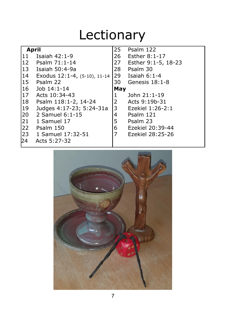# Lectionary

| <b>April</b> |                              | 25   | Psalm 122           |
|--------------|------------------------------|------|---------------------|
| 111          | Isaiah $42:1-9$              | 26   | Esther 8:1-17       |
|              | 12 Psalm 71:1-14             | 27   | Esther 9:1-5, 18-23 |
|              | 13 Isaiah 50:4-9a            | 28   | Psalm 30            |
| $ 14\rangle$ | Exodus 12:1-4, (5-10), 11-14 | 29   | Isaiah 6:1-4        |
|              | 15 Psalm 22                  | 30 I | Genesis $18:1-8$    |
| 16           | Job 14:1-14                  | May  |                     |
| l 17         | Acts 10:34-43                | 1    | John 21:1-19        |
| 18           | Psalm 118:1-2, 14-24         | 2    | Acts 9:19b-31       |
| 19           | Judges 4:17-23; 5:24-31a     | 3    | Ezekiel 1:26-2:1    |
| 20           | 2 Samuel 6:1-15              | 4    | Psalm 121           |
| 21           | 1 Samuel 17                  | 5    | Psalm 23            |
| 22           | Psalm 150                    | 6    | Ezekiel 20:39-44    |
| 23           | 1 Samuel 17:32-51            | 7    | Ezekiel 28:25-26    |
| 24           | Acts 5:27-32                 |      |                     |

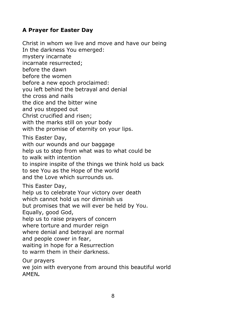# **A Prayer for Easter Day**

Christ in whom we live and move and have our being In the darkness You emerged: mystery incarnate incarnate resurrected; before the dawn before the women before a new epoch proclaimed: you left behind the betrayal and denial the cross and nails the dice and the bitter wine and you stepped out Christ crucified and risen; with the marks still on your body with the promise of eternity on your lips. This Easter Day, with our wounds and our baggage help us to step from what was to what could be to walk with intention to inspire inspite of the things we think hold us back to see You as the Hope of the world and the Love which surrounds us. This Easter Day, help us to celebrate Your victory over death which cannot hold us nor diminish us but promises that we will ever be held by You. Equally, good God, help us to raise prayers of concern where torture and murder reign where denial and betrayal are normal and people cower in fear, waiting in hope for a Resurrection to warm them in their darkness. Our prayers

we join with everyone from around this beautiful world AMEN**.**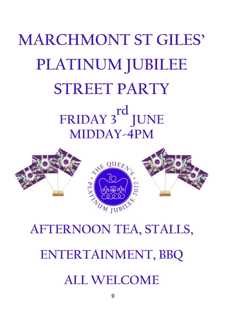# **MARCHMONT ST GILES' PLATINUM JUBILEE STREET PARTY FRIDAY 3rd JUNE MIDDAY-4PM**



# **AFTERNOON TEA, STALLS, ENTERTAINMENT, BBQ ALL WELCOME**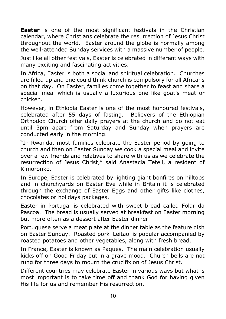**Easter** is one of the most significant festivals in the Christian calendar, where Christians celebrate the resurrection of Jesus Christ throughout the world. Easter around the globe is normally among the well-attended Sunday services with a massive number of people.

Just like all other festivals, Easter is celebrated in different ways with many exciting and fascinating activities.

In Africa, Easter is both a social and spiritual celebration. Churches are filled up and one could think church is compulsory for all Africans on that day. On Easter, families come together to feast and share a special meal which is usually a luxurious one like goat's meat or chicken.

However, in Ethiopia Easter is one of the most honoured festivals, celebrated after 55 days of fasting. Believers of the Ethiopian Orthodox Church offer daily prayers at the church and do not eat until 3pm apart from Saturday and Sunday when prayers are conducted early in the morning.

"In Rwanda, most families celebrate the Easter period by going to church and then on Easter Sunday we cook a special meal and invite over a few friends and relatives to share with us as we celebrate the resurrection of Jesus Christ," said Anastacia Teteli, a resident of Kimoronko.

In Europe, Easter is celebrated by lighting giant bonfires on hilltops and in churchyards on Easter Eve while in Britain it is celebrated through the exchange of Easter Eggs and other gifts like clothes, chocolates or holidays packages.

Easter in Portugal is celebrated with sweet bread called Folar da Pascoa. The bread is usually served at breakfast on Easter morning but more often as a dessert after Easter dinner.

Portuguese serve a meat plate at the dinner table as the feature dish on Easter Sunday. Roasted pork 'Leitao' is popular accompanied by roasted potatoes and other vegetables, along with fresh bread.

In France, Easter is known as Paques. The main celebration usually kicks off on Good Friday but in a grave mood. Church bells are not rung for three days to mourn the crucifixion of Jesus Christ.

Different countries may celebrate Easter in various ways but what is most important is to take time off and thank God for having given His life for us and remember His resurrection.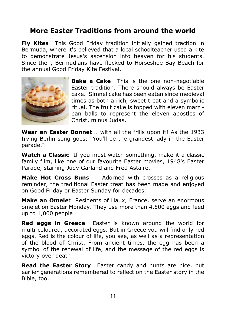# **More Easter Traditions from around the world**

**Fly Kites** This Good Friday tradition initially gained traction in Bermuda, where it's believed that a local schoolteacher used a kite to demonstrate Jesus's ascension into heaven for his students. Since then, Bermudians have flocked to Horseshoe Bay Beach for the annual Good Friday Kite Festival.



**Bake a Cake** This is the one non-negotiable Easter tradition. There should always be Easter cake. Simnel cake has been eaten since medieval times as both a rich, sweet treat and a symbolic ritual. The fruit cake is topped with eleven marzipan balls to represent the eleven apostles of Christ, minus Judas.

**Wear an Easter Bonnet**... with all the frills upon it! As the 1933 Irving Berlin song goes: "You'll be the grandest lady in the Easter parade."

**Watch a Classic** If you must watch something, make it a classic family film, like one of our favourite Easter movies, 1948's Easter Parade, starring Judy Garland and Fred Astaire.

**Make Hot Cross Buns** Adorned with crosses as a religious reminder, the traditional Easter treat has been made and enjoyed on Good Friday or Easter Sunday for decades.

**Make an Omele**t Residents of Haux, France, serve an enormous omelet on Easter Monday. They use more than 4,500 eggs and feed up to 1,000 people

**Red eggs in Greece** Easter is known around the world for multi-coloured, decorated eggs. But in Greece you will find only red eggs. Red is the colour of life, you see, as well as a representation of the blood of Christ. From ancient times, the egg has been a symbol of the renewal of life, and the message of the red eggs is victory over death

**Read the Easter Story** Easter candy and hunts are nice, but earlier generations remembered to reflect on the Easter story in the Bible, too.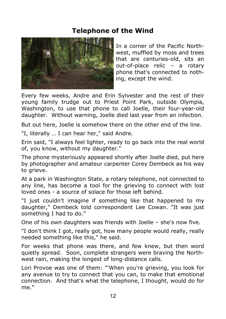# **Telephone of the Wind**



In a corner of the Pacific Northwest, muffled by moss and trees that are centuries-old, sits an out-of-place relic – a rotary phone that's connected to nothing, except the wind.

Every few weeks, Andre and Erin Sylvester and the rest of their young family trudge out to Priest Point Park, outside Olympia, Washington, to use that phone to call Joelle, their four-year-old daughter. Without warning, Joelle died last year from an infection.

But out here, Joelle is somehow there on the other end of the line.

"I, literally … I can hear her," said Andre.

Erin said, "I always feel lighter, ready to go back into the real world of, you know, without my daughter."

The phone mysteriously appeared shortly after Joelle died, put here by photographer and amateur carpenter Corey Dembeck as his way to grieve.

At a park in Washington State, a rotary telephone, not connected to any line, has become a tool for the grieving to connect with lost loved ones - a source of solace for those left behind.

"I just couldn't imagine if something like that happened to my daughter," Dembeck told correspondent Lee Cowan. "It was just something I had to do."

One of his own daughters was friends with Joelle – she's now five.

"I don't think I got, really got, how many people would really, really needed something like this," he said.

For weeks that phone was there, and few knew, but then word quietly spread. Soon, complete strangers were braving the Northwest rain, making the longest of long-distance calls.

Lori Provoe was one of them: "'When you're grieving, you look for any avenue to try to connect that you can, to make that emotional connection. And that's what the telephone, I thought, would do for me."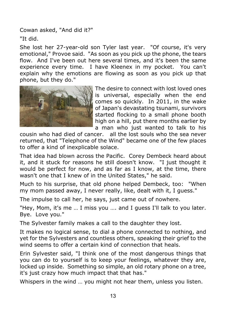Cowan asked, "And did it?"

"It did.

She lost her 27-year-old son Tyler last year. "Of course, it's very emotional," Provoe said. "As soon as you pick up the phone, the tears flow. And I've been out here several times, and it's been the same experience every time. I have Kleenex in my pocket. You can't explain why the emotions are flowing as soon as you pick up that phone, but they do."



The desire to connect with lost loved ones is universal, especially when the end comes so quickly. In 2011, in the wake of Japan's devastating tsunami, survivors started flocking to a small phone booth high on a hill, put there months earlier by a man who just wanted to talk to his

cousin who had died of cancer. all the lost souls who the sea never returned, that "Telephone of the Wind" became one of the few places to offer a kind of inexplicable solace.

That idea had blown across the Pacific. Corey Dembeck heard about it, and it stuck for reasons he still doesn't know. "I just thought it would be perfect for now, and as far as I know, at the time, there wasn't one that I knew of in the United States," he said.

Much to his surprise, that old phone helped Dembeck, too: "When my mom passed away, I never really, like, dealt with it, I guess."

The impulse to call her, he says, just came out of nowhere.

"Hey, Mom, it's me … I miss you …. and I guess I'll talk to you later. Bye. Love you."

The Sylvester family makes a call to the daughter they lost.

It makes no logical sense, to dial a phone connected to nothing, and yet for the Sylvesters and countless others, speaking their grief to the wind seems to offer a certain kind of connection that heals.

Erin Sylvester said, "I think one of the most dangerous things that you can do to yourself is to keep your feelings, whatever they are, locked up inside. Something so simple, an old rotary phone on a tree, it's just crazy how much impact that that has."

Whispers in the wind … you might not hear them, unless you listen.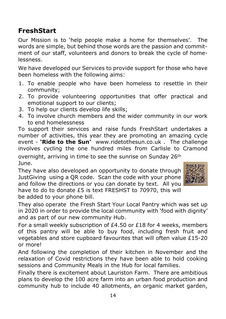# **FreshStart**

Our Mission is to 'help people make a home for themselves'. The words are simple, but behind those words are the passion and commitment of our staff, volunteers and donors to break the cycle of homelessness.

We have developed our Services to provide support for those who have been homeless with the following aims:

- 1. To enable people who have been homeless to resettle in their community;
- 2. To provide volunteering opportunities that offer practical and emotional support to our clients;
- 3. To help our clients develop life skills;
- 4. To involve church members and the wider community in our work to end homelessness

To support their services and raise funds FreshStart undertakes a number of activities, this year they are promoting an amazing cycle event - **'Ride to the Sun'** www.ridetothesun.co.uk . The challenge involves cycling the one hundred miles from Carlisle to Cramond overnight, arriving in time to see the sunrise on Sunday 26<sup>th</sup> June.

They have also developed an opportunity to donate through JustGiving using a QR code. Scan the code with your phone and follow the directions or you can donate by text. All you have to do to donate £5 is text FRESHST to 70970, this will be added to your phone bill.



They also operate the Fresh Start Your Local Pantry which was set up in 2020 in order to provide the local community with 'food with dignity' and as part of our new community Hub.

For a small weekly subscription of £4.50 or £18 for 4 weeks, members of this pantry will be able to buy food, including fresh fruit and vegetables and store cupboard favourites that will often value £15-20 or more!

And following the completion of their kitchen in November and the relaxation of Covid restrictions they have been able to hold cooking sessions and Community Meals in the Hub for local families.

Finally there is excitement about Lauriston Farm. There are ambitious plans to develop the 100 acre farm into an urban food production and community hub to include 40 allotments, an organic market garden,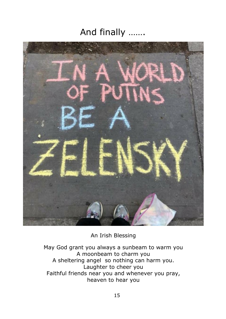# And finally …….



An Irish Blessing

May God grant you always a sunbeam to warm you A moonbeam to charm you A sheltering angel so nothing can harm you. Laughter to cheer you Faithful friends near you and whenever you pray, heaven to hear you